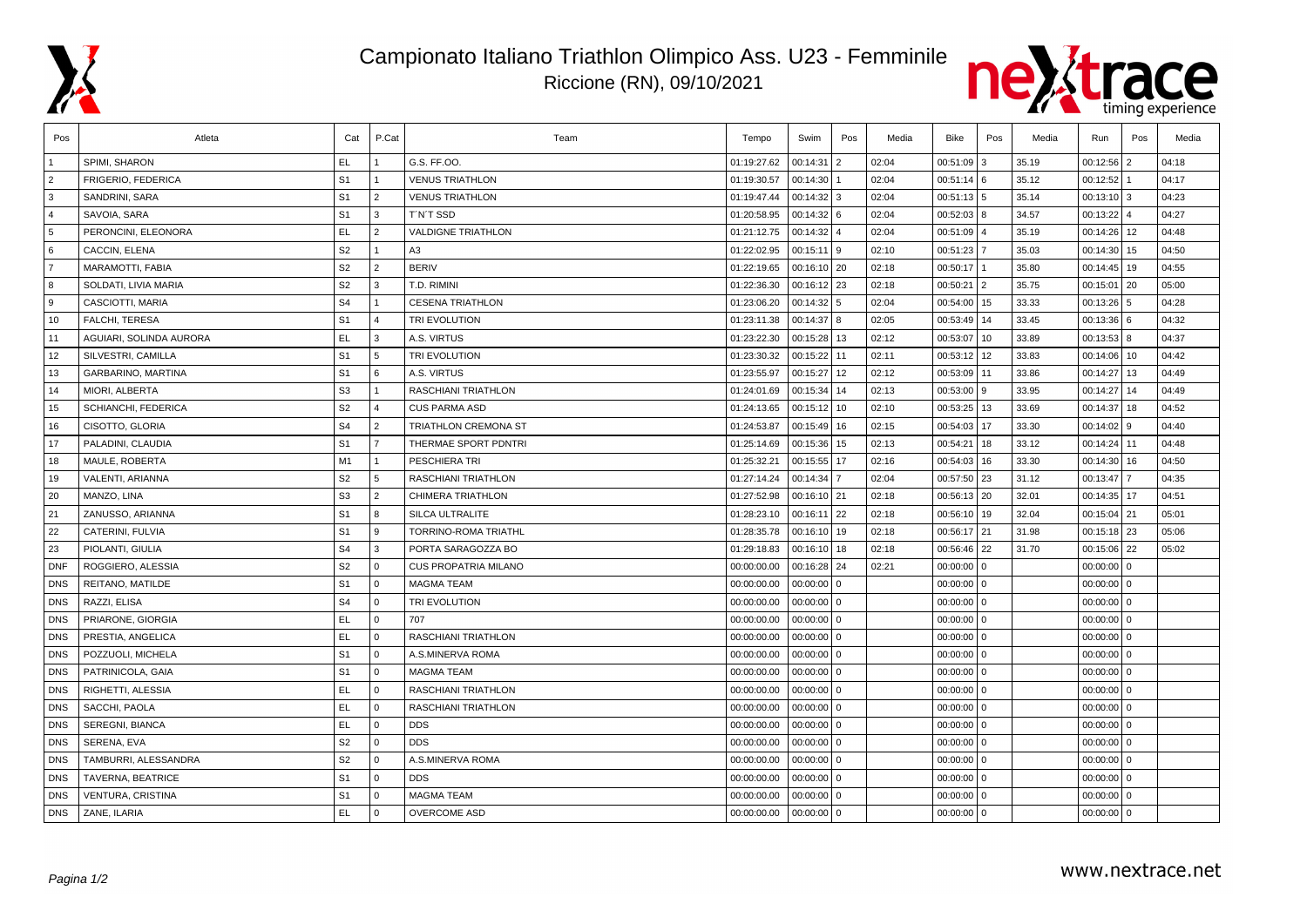

## Campionato Italiano Triathlon Olimpico Ass. U23 - Femminile Riccione (RN), 09/10/2021



| Pos            | Atleta                  | Cat            | P.Cat          | Team                        | Tempo       | Swim           | Pos            | Media | Bike         | Pos | Media | Run           | Pos            | Media |
|----------------|-------------------------|----------------|----------------|-----------------------------|-------------|----------------|----------------|-------|--------------|-----|-------|---------------|----------------|-------|
|                | SPIMI, SHARON           | EL.            |                | G.S. FF.OO.                 | 01:19:27.62 | 00:14:31       | 2              | 02:04 | 00:51:09     | 3   | 35.19 | 00:12:56      | $\overline{2}$ | 04:18 |
| $\overline{2}$ | FRIGERIO, FEDERICA      | S <sub>1</sub> |                | <b>VENUS TRIATHLON</b>      | 01:19:30.57 | 00:14:30       |                | 02:04 | 00:51:14 6   |     | 35.12 | 00:12:52      |                | 04:17 |
| 3              | SANDRINI, SARA          | S <sub>1</sub> | 2              | <b>VENUS TRIATHLON</b>      | 01:19:47.44 | 00:14:32       | 3              | 02:04 | 00:51:13 5   |     | 35.14 | 00:13:10      | lз             | 04:23 |
| $\overline{4}$ | SAVOIA, SARA            | S <sub>1</sub> | 3              | T'N'T SSD                   | 01:20:58.95 | $00:14:32$ 6   |                | 02:04 | 00:52:03 8   |     | 34.57 | 00:13:22      | $\overline{4}$ | 04:27 |
| 5              | PERONCINI, ELEONORA     | EL             | $\overline{2}$ | <b>VALDIGNE TRIATHLON</b>   | 01:21:12.75 | 00:14:32       | $\overline{4}$ | 02:04 | 00:51:09 4   |     | 35.19 | 00:14:26      | 12             | 04:48 |
| 6              | CACCIN, ELENA           | S <sub>2</sub> | $\mathbf{1}$   | A <sub>3</sub>              | 01:22:02.95 | 00:15:11       | 9              | 02:10 | 00:51:23     |     | 35.03 | 00:14:30      | 15             | 04:50 |
| $\overline{7}$ | MARAMOTTI, FABIA        | S <sub>2</sub> | 2              | <b>BERIV</b>                | 01:22:19.65 | $00:16:10$ 20  |                | 02:18 | 00:50:17     |     | 35.80 | 00:14:45      | 19             | 04:55 |
| 8              | SOLDATI, LIVIA MARIA    | S <sub>2</sub> | 3              | T.D. RIMINI                 | 01:22:36.30 | $00:16:12$ 23  |                | 02:18 | 00:50:21 2   |     | 35.75 | 00:15:01      | 20             | 05:00 |
| ∣9             | CASCIOTTI, MARIA        | S <sub>4</sub> | $\mathbf{1}$   | <b>CESENA TRIATHLON</b>     | 01:23:06.20 | 00:14:32       | 5              | 02:04 | 00:54:00 15  |     | 33.33 | 00:13:26      | 5              | 04:28 |
| 10             | FALCHI, TERESA          | S <sub>1</sub> | $\Delta$       | TRI EVOLUTION               | 01:23:11.38 | 00:14:37       | 8              | 02:05 | 00:53:49 14  |     | 33.45 | 00:13:36      | l 6            | 04:32 |
| 11             | AGUIARI, SOLINDA AURORA | <b>EL</b>      | 3              | A.S. VIRTUS                 | 01:23:22.30 | 00:15:28       | 13             | 02:12 | 00:53:07     | 10  | 33.89 | 00:13:53      | 8              | 04:37 |
| 12             | SILVESTRI, CAMILLA      | S <sub>1</sub> | 5              | TRI EVOLUTION               | 01:23:30.32 | 00:15:22       | 11             | 02:11 | 00:53:12 12  |     | 33.83 | 00:14:06      | 10             | 04:42 |
| 13             | GARBARINO, MARTINA      | S <sub>1</sub> | 6              | A.S. VIRTUS                 | 01:23:55.97 | 00:15:27       | 12             | 02:12 | 00:53:09 11  |     | 33.86 | 00:14:27      | 13             | 04:49 |
| 14             | MIORI, ALBERTA          | S <sub>3</sub> | $\mathbf{1}$   | RASCHIANI TRIATHLON         | 01:24:01.69 | 00:15:34       | 14             | 02:13 | 00:53:00 9   |     | 33.95 | 00:14:27      | 14             | 04:49 |
| 15             | SCHIANCHI, FEDERICA     | S <sub>2</sub> | $\overline{4}$ | <b>CUS PARMA ASD</b>        | 01:24:13.65 | 00:15:12       | 10             | 02:10 | 00:53:25     | 13  | 33.69 | 00:14:37      | 18             | 04:52 |
| 16             | CISOTTO, GLORIA         | S <sub>4</sub> | 2              | TRIATHLON CREMONA ST        | 01:24:53.87 | 00:15:49       | 16             | 02:15 | 00:54:03 17  |     | 33.30 | 00:14:02      | l 9            | 04:40 |
| 17             | PALADINI, CLAUDIA       | S <sub>1</sub> | $\overline{7}$ | THERMAE SPORT PDNTRI        | 01:25:14.69 | 00:15:36       | 15             | 02:13 | 00:54:21 18  |     | 33.12 | 00:14:24      | l 11           | 04:48 |
| 18             | MAULE, ROBERTA          | M1             | $\mathbf{1}$   | PESCHIERA TRI               | 01:25:32.21 | 00:15:55       | 17             | 02:16 | 00:54:03 16  |     | 33.30 | 00:14:30      | 16             | 04:50 |
| 19             | VALENTI, ARIANNA        | S <sub>2</sub> | 5              | <b>RASCHIANI TRIATHLON</b>  | 01:27:14.24 | 00:14:34       |                | 02:04 | 00:57:50 23  |     | 31.12 | 00:13:47      | $\overline{7}$ | 04:35 |
| 20             | MANZO, LINA             | S <sub>3</sub> | 2              | <b>CHIMERA TRIATHLON</b>    | 01:27:52.98 | 00:16:10 21    |                | 02:18 | 00:56:13 20  |     | 32.01 | 00:14:35      | 17             | 04:51 |
| 21             | ZANUSSO, ARIANNA        | S <sub>1</sub> | 8              | <b>SILCA ULTRALITE</b>      | 01:28:23.10 | $00:16:11$ 22  |                | 02:18 | 00:56:10 19  |     | 32.04 | $00:15:04$ 21 |                | 05:01 |
| 22             | CATERINI, FULVIA        | S <sub>1</sub> | 9              | TORRINO-ROMA TRIATHL        | 01:28:35.78 | 00:16:10       | 19             | 02:18 | 00:56:17 21  |     | 31.98 | 00:15:18      | 23             | 05:06 |
| 23             | PIOLANTI, GIULIA        | S <sub>4</sub> | 3              | PORTA SARAGOZZA BO          | 01:29:18.83 | 00:16:10       | 18             | 02:18 | 00:56:46     | 22  | 31.70 | 00:15:06      | 22             | 05:02 |
| <b>DNF</b>     | ROGGIERO, ALESSIA       | S <sub>2</sub> | $\mathbf 0$    | <b>CUS PROPATRIA MILANO</b> | 00:00:00.00 | 00:16:28       | 24             | 02:21 | $00:00:00$ 0 |     |       | 00:00:00      | $\Omega$       |       |
| <b>DNS</b>     | REITANO, MATILDE        | S <sub>1</sub> | $\Omega$       | <b>MAGMA TEAM</b>           | 00:00:00.00 | 00:00:00       | $\Omega$       |       | $00:00:00$ 0 |     |       | $00:00:00$ 0  |                |       |
| <b>DNS</b>     | RAZZI, ELISA            | S <sub>4</sub> | $\mathbf 0$    | <b>TRI EVOLUTION</b>        | 00:00:00.00 | 00:00:00       | $\mathbf 0$    |       | $00:00:00$ 0 |     |       | $00:00:00$ 0  |                |       |
| <b>DNS</b>     | PRIARONE, GIORGIA       | <b>EL</b>      | $\mathbf 0$    | 707                         | 00:00:00.00 | 00:00:00       | 0              |       | $00:00:00$ 0 |     |       | $00:00:00$ 0  |                |       |
| <b>DNS</b>     | PRESTIA, ANGELICA       | <b>EL</b>      | $\mathbf 0$    | RASCHIANI TRIATHLON         | 00:00:00.00 | 00:00:00       | 0              |       | $00:00:00$ 0 |     |       | 00:00:00      | l 0            |       |
| <b>DNS</b>     | POZZUOLI, MICHELA       | S <sub>1</sub> | $\mathbf 0$    | A.S.MINERVA ROMA            | 00:00:00.00 | 00:00:00       | 0              |       | $00:00:00$ 0 |     |       | $00:00:00$ 0  |                |       |
| <b>DNS</b>     | PATRINICOLA, GAIA       | S <sub>1</sub> | $\mathbf 0$    | <b>MAGMA TEAM</b>           | 00:00:00.00 | $00:00:00$   0 |                |       | $00:00:00$ 0 |     |       | $00:00:00$ 0  |                |       |
| <b>DNS</b>     | RIGHETTI, ALESSIA       | EL             | $\mathbf 0$    | RASCHIANI TRIATHLON         | 00:00:00.00 | 00:00:00       | $\mathbf 0$    |       | $00:00:00$ 0 |     |       | 00:00:00      | l o            |       |
| <b>DNS</b>     | SACCHI, PAOLA           | EL.            | $\mathbf 0$    | <b>RASCHIANI TRIATHLON</b>  | 00:00:00.00 | 00:00:00       | $\mathbf 0$    |       | $00:00:00$ 0 |     |       | 00:00:00      | $\mathbf 0$    |       |
| <b>DNS</b>     | <b>SEREGNI, BIANCA</b>  | EL.            | $\mathbf 0$    | <b>DDS</b>                  | 00:00:00.00 | 00:00:00       | $\mathbf 0$    |       | $00:00:00$ 0 |     |       | 00:00:00      | $\mathbf{0}$   |       |
| <b>DNS</b>     | SERENA, EVA             | S <sub>2</sub> | $\Omega$       | <b>DDS</b>                  | 00:00:00.00 | $00:00:00$ 0   |                |       | $00:00:00$ 0 |     |       | $00:00:00$ 0  |                |       |
| <b>DNS</b>     | TAMBURRI, ALESSANDRA    | S <sub>2</sub> | $\mathbf 0$    | A.S.MINERVA ROMA            | 00:00:00.00 | 00:00:00       | $\overline{0}$ |       | $00:00:00$ 0 |     |       | $00:00:00$ 0  |                |       |
| <b>DNS</b>     | TAVERNA, BEATRICE       | S <sub>1</sub> | $\Omega$       | <b>DDS</b>                  | 00:00:00.00 | 00:00:00       | $\overline{0}$ |       | $00:00:00$ 0 |     |       | 00:00:00      | l o            |       |
| <b>DNS</b>     | VENTURA, CRISTINA       | S <sub>1</sub> | $\Omega$       | <b>MAGMA TEAM</b>           | 00:00:00.00 | 00:00:00       | $\Omega$       |       | $00:00:00$ 0 |     |       | 00:00:00      | l o            |       |
| DNS            | ZANE, ILARIA            | EL.            | $\Omega$       | <b>OVERCOME ASD</b>         | 00:00:00.00 | $00:00:00$ 0   |                |       | $00:00:00$ 0 |     |       | $00:00:00$ 0  |                |       |